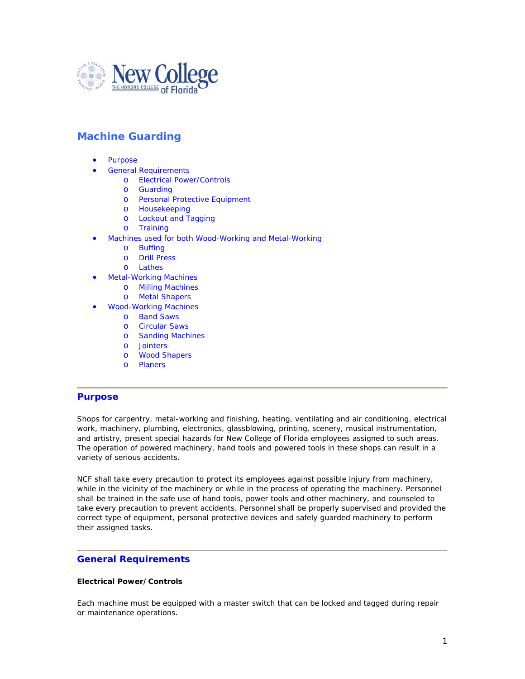

# **Machine Guarding**

- Purpose
- General Requirements
	- o Electrical Power/Controls
	- o Guarding
	- o Personal Protective Equipment
	- o Housekeeping
	- o Lockout and Tagging
	- o Training
- Machines used for both Wood-Working and Metal-Working
	- o Buffing
	- o Drill Press
	- o Lathes
- **Metal-Working Machines** 
	- o Milling Machines
	- o Metal Shapers
- Wood-Working Machines
	- o Band Saws
	- o Circular Saws
	- o Sanding Machines
	- o Jointers
	- o Wood Shapers
	- o Planers

## **Purpose**

Shops for carpentry, metal-working and finishing, heating, ventilating and air conditioning, electrical work, machinery, plumbing, electronics, glassblowing, printing, scenery, musical instrumentation, and artistry, present special hazards for New College of Florida employees assigned to such areas. The operation of powered machinery, hand tools and powered tools in these shops can result in a variety of serious accidents.

NCF shall take every precaution to protect its employees against possible injury from machinery, while in the vicinity of the machinery or while in the process of operating the machinery. Personnel shall be trained in the safe use of hand tools, power tools and other machinery, and counseled to take every precaution to prevent accidents. Personnel shall be properly supervised and provided the correct type of equipment, personal protective devices and safely guarded machinery to perform their assigned tasks.

## **General Requirements**

#### **Electrical Power/Controls**

Each machine must be equipped with a master switch that can be locked and tagged during repair or maintenance operations.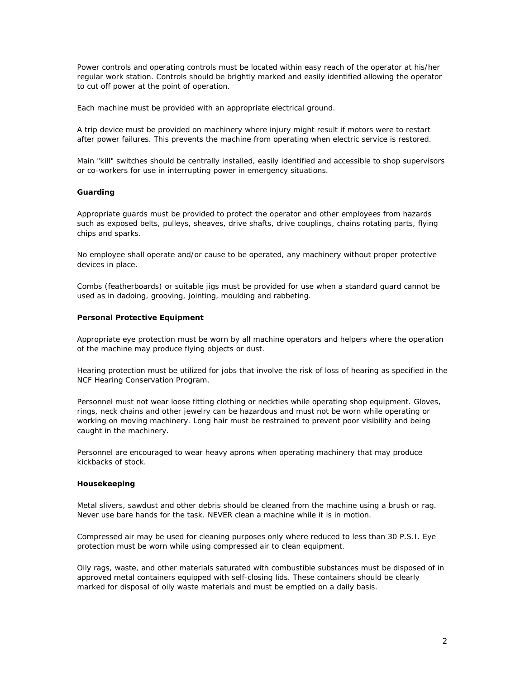Power controls and operating controls must be located within easy reach of the operator at his/her regular work station. Controls should be brightly marked and easily identified allowing the operator to cut off power at the point of operation.

Each machine must be provided with an appropriate electrical ground.

A trip device must be provided on machinery where injury might result if motors were to restart after power failures. This prevents the machine from operating when electric service is restored.

Main "kill" switches should be centrally installed, easily identified and accessible to shop supervisors or co-workers for use in interrupting power in emergency situations.

#### **Guarding**

Appropriate guards must be provided to protect the operator and other employees from hazards such as exposed belts, pulleys, sheaves, drive shafts, drive couplings, chains rotating parts, flying chips and sparks.

No employee shall operate and/or cause to be operated, any machinery without proper protective devices in place.

Combs (featherboards) or suitable jigs must be provided for use when a standard guard cannot be used as in dadoing, grooving, jointing, moulding and rabbeting.

#### **Personal Protective Equipment**

Appropriate eye protection must be worn by all machine operators and helpers where the operation of the machine may produce flying objects or dust.

Hearing protection must be utilized for jobs that involve the risk of loss of hearing as specified in the NCF Hearing Conservation Program.

Personnel must not wear loose fitting clothing or neckties while operating shop equipment. Gloves, rings, neck chains and other jewelry can be hazardous and must not be worn while operating or working on moving machinery. Long hair must be restrained to prevent poor visibility and being caught in the machinery.

Personnel are encouraged to wear heavy aprons when operating machinery that may produce kickbacks of stock.

#### **Housekeeping**

Metal slivers, sawdust and other debris should be cleaned from the machine using a brush or rag. Never use bare hands for the task. NEVER clean a machine while it is in motion.

Compressed air may be used for cleaning purposes only where reduced to less than 30 P.S.I. Eye protection must be worn while using compressed air to clean equipment.

Oily rags, waste, and other materials saturated with combustible substances must be disposed of in approved metal containers equipped with self-closing lids. These containers should be clearly marked for disposal of oily waste materials and must be emptied on a daily basis.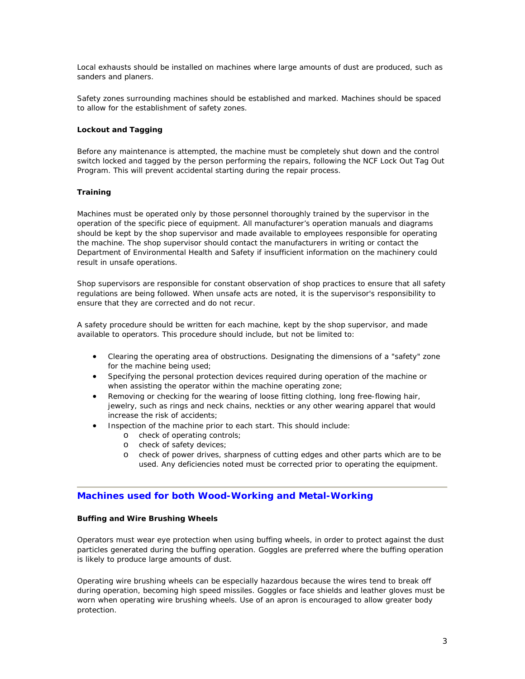Local exhausts should be installed on machines where large amounts of dust are produced, such as sanders and planers.

Safety zones surrounding machines should be established and marked. Machines should be spaced to allow for the establishment of safety zones.

#### **Lockout and Tagging**

Before any maintenance is attempted, the machine must be completely shut down and the control switch locked and tagged by the person performing the repairs, following the NCF Lock Out Tag Out Program. This will prevent accidental starting during the repair process.

### **Training**

Machines must be operated only by those personnel thoroughly trained by the supervisor in the operation of the specific piece of equipment. All manufacturer's operation manuals and diagrams should be kept by the shop supervisor and made available to employees responsible for operating the machine. The shop supervisor should contact the manufacturers in writing or contact the Department of Environmental Health and Safety if insufficient information on the machinery could result in unsafe operations.

Shop supervisors are responsible for constant observation of shop practices to ensure that all safety regulations are being followed. When unsafe acts are noted, it is the supervisor's responsibility to ensure that they are corrected and do not recur.

A safety procedure should be written for each machine, kept by the shop supervisor, and made available to operators. This procedure should include, but not be limited to:

- Clearing the operating area of obstructions. Designating the dimensions of a "safety" zone for the machine being used;
- Specifying the personal protection devices required during operation of the machine or when assisting the operator within the machine operating zone;
- Removing or checking for the wearing of loose fitting clothing, long free-flowing hair, jewelry, such as rings and neck chains, neckties or any other wearing apparel that would increase the risk of accidents;
- Inspection of the machine prior to each start. This should include:
	- o check of operating controls;
	- o check of safety devices;
	- o check of power drives, sharpness of cutting edges and other parts which are to be used. Any deficiencies noted must be corrected prior to operating the equipment.

## **Machines used for both Wood-Working and Metal-Working**

#### **Buffing and Wire Brushing Wheels**

Operators must wear eye protection when using buffing wheels, in order to protect against the dust particles generated during the buffing operation. Goggles are preferred where the buffing operation is likely to produce large amounts of dust.

Operating wire brushing wheels can be especially hazardous because the wires tend to break off during operation, becoming high speed missiles. Goggles or face shields and leather gloves must be worn when operating wire brushing wheels. Use of an apron is encouraged to allow greater body protection.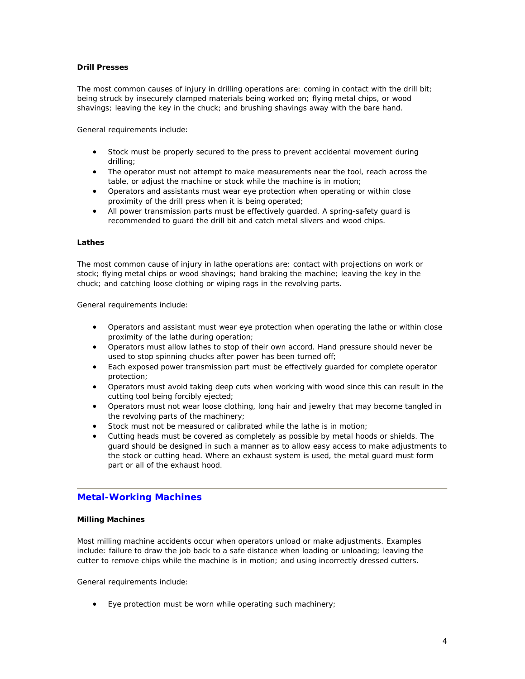#### **Drill Presses**

The most common causes of injury in drilling operations are: coming in contact with the drill bit; being struck by insecurely clamped materials being worked on; flying metal chips, or wood shavings; leaving the key in the chuck; and brushing shavings away with the bare hand.

General requirements include:

- Stock must be properly secured to the press to prevent accidental movement during drilling;
- The operator must not attempt to make measurements near the tool, reach across the table, or adjust the machine or stock while the machine is in motion;
- Operators and assistants must wear eye protection when operating or within close proximity of the drill press when it is being operated;
- All power transmission parts must be effectively guarded. A spring-safety guard is recommended to guard the drill bit and catch metal slivers and wood chips.

#### **Lathes**

The most common cause of injury in lathe operations are: contact with projections on work or stock; flying metal chips or wood shavings; hand braking the machine; leaving the key in the chuck; and catching loose clothing or wiping rags in the revolving parts.

General requirements include:

- Operators and assistant must wear eye protection when operating the lathe or within close proximity of the lathe during operation;
- Operators must allow lathes to stop of their own accord. Hand pressure should never be used to stop spinning chucks after power has been turned off;
- Each exposed power transmission part must be effectively guarded for complete operator protection;
- Operators must avoid taking deep cuts when working with wood since this can result in the cutting tool being forcibly ejected;
- Operators must not wear loose clothing, long hair and jewelry that may become tangled in the revolving parts of the machinery;
- Stock must not be measured or calibrated while the lathe is in motion;
- Cutting heads must be covered as completely as possible by metal hoods or shields. The guard should be designed in such a manner as to allow easy access to make adjustments to the stock or cutting head. Where an exhaust system is used, the metal guard must form part or all of the exhaust hood.

## **Metal-Working Machines**

#### **Milling Machines**

Most milling machine accidents occur when operators unload or make adjustments. Examples include: failure to draw the job back to a safe distance when loading or unloading; leaving the cutter to remove chips while the machine is in motion; and using incorrectly dressed cutters.

General requirements include:

• Eye protection must be worn while operating such machinery;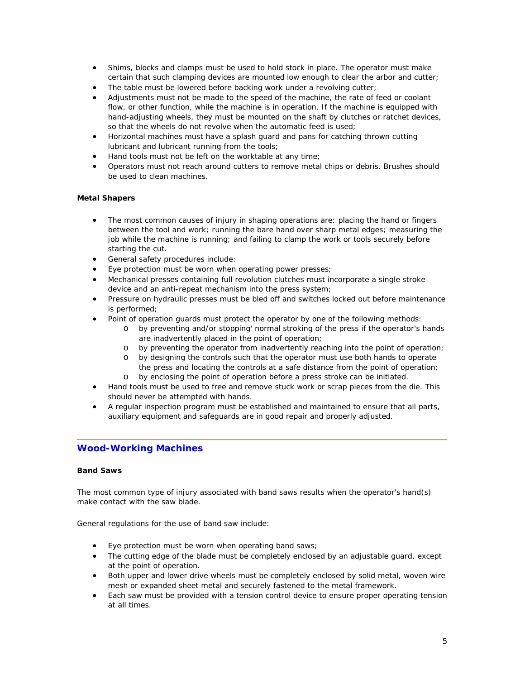- Shims, blocks and clamps must be used to hold stock in place. The operator must make certain that such clamping devices are mounted low enough to clear the arbor and cutter;
- The table must be lowered before backing work under a revolving cutter;
- Adjustments must not be made to the speed of the machine, the rate of feed or coolant flow, or other function, while the machine is in operation. If the machine is equipped with hand-adjusting wheels, they must be mounted on the shaft by clutches or ratchet devices, so that the wheels do not revolve when the automatic feed is used;
- Horizontal machines must have a splash guard and pans for catching thrown cutting lubricant and lubricant running from the tools;
- Hand tools must not be left on the worktable at any time;
- Operators must not reach around cutters to remove metal chips or debris. Brushes should be used to clean machines.

#### **Metal Shapers**

- The most common causes of injury in shaping operations are: placing the hand or fingers between the tool and work; running the bare hand over sharp metal edges; measuring the job while the machine is running; and failing to clamp the work or tools securely before starting the cut.
- General safety procedures include:
- Eye protection must be worn when operating power presses;
- Mechanical presses containing full revolution clutches must incorporate a single stroke device and an anti-repeat mechanism into the press system;
- Pressure on hydraulic presses must be bled off and switches locked out before maintenance is performed;
- Point of operation guards must protect the operator by one of the following methods:
	- o by preventing and/or stopping' normal stroking of the press if the operator's hands are inadvertently placed in the point of operation;
	- o by preventing the operator from inadvertently reaching into the point of operation;
	- o by designing the controls such that the operator must use both hands to operate the press and locating the controls at a safe distance from the point of operation;
	- o by enclosing the point of operation before a press stroke can be initiated.
- Hand tools must be used to free and remove stuck work or scrap pieces from the die. This should never be attempted with hands.
- A regular inspection program must be established and maintained to ensure that all parts, auxiliary equipment and safeguards are in good repair and properly adjusted.

## **Wood-Working Machines**

#### **Band Saws**

The most common type of injury associated with band saws results when the operator's hand(s) make contact with the saw blade.

General regulations for the use of band saw include:

- Eye protection must be worn when operating band saws;
- The cutting edge of the blade must be completely enclosed by an adjustable guard, except at the point of operation.
- Both upper and lower drive wheels must be completely enclosed by solid metal, woven wire mesh or expanded sheet metal and securely fastened to the metal framework.
- Each saw must be provided with a tension control device to ensure proper operating tension at all times.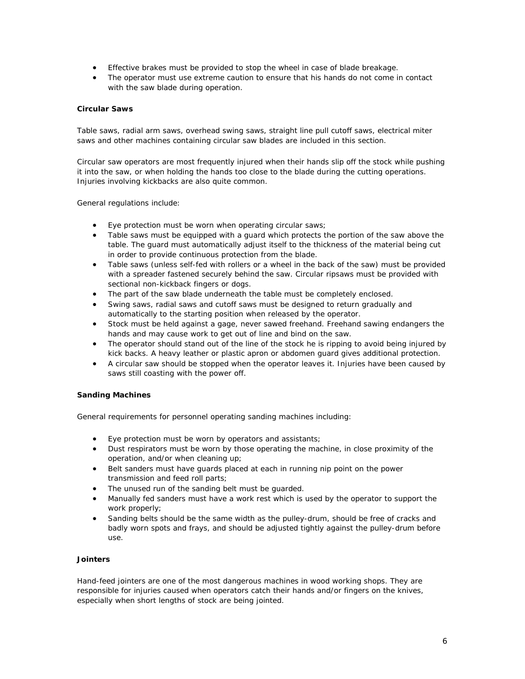- Effective brakes must be provided to stop the wheel in case of blade breakage.
- The operator must use extreme caution to ensure that his hands do not come in contact with the saw blade during operation.

## **Circular Saws**

Table saws, radial arm saws, overhead swing saws, straight line pull cutoff saws, electrical miter saws and other machines containing circular saw blades are included in this section.

Circular saw operators are most frequently injured when their hands slip off the stock while pushing it into the saw, or when holding the hands too close to the blade during the cutting operations. Injuries involving kickbacks are also quite common.

General regulations include:

- Eye protection must be worn when operating circular saws;
- Table saws must be equipped with a guard which protects the portion of the saw above the table. The guard must automatically adjust itself to the thickness of the material being cut in order to provide continuous protection from the blade.
- Table saws (unless self-fed with rollers or a wheel in the back of the saw) must be provided with a spreader fastened securely behind the saw. Circular ripsaws must be provided with sectional non-kickback fingers or dogs.
- The part of the saw blade underneath the table must be completely enclosed.
- Swing saws, radial saws and cutoff saws must be designed to return gradually and automatically to the starting position when released by the operator.
- Stock must be held against a gage, never sawed freehand. Freehand sawing endangers the hands and may cause work to get out of line and bind on the saw.
- The operator should stand out of the line of the stock he is ripping to avoid being injured by kick backs. A heavy leather or plastic apron or abdomen guard gives additional protection.
- A circular saw should be stopped when the operator leaves it. Injuries have been caused by saws still coasting with the power off.

#### **Sanding Machines**

General requirements for personnel operating sanding machines including:

- Eye protection must be worn by operators and assistants;
- Dust respirators must be worn by those operating the machine, in close proximity of the operation, and/or when cleaning up;
- Belt sanders must have guards placed at each in running nip point on the power transmission and feed roll parts;
- The unused run of the sanding belt must be guarded.
- Manually fed sanders must have a work rest which is used by the operator to support the work properly;
- Sanding belts should be the same width as the pulley-drum, should be free of cracks and badly worn spots and frays, and should be adjusted tightly against the pulley-drum before use.

#### **Jointers**

Hand-feed jointers are one of the most dangerous machines in wood working shops. They are responsible for injuries caused when operators catch their hands and/or fingers on the knives, especially when short lengths of stock are being jointed.